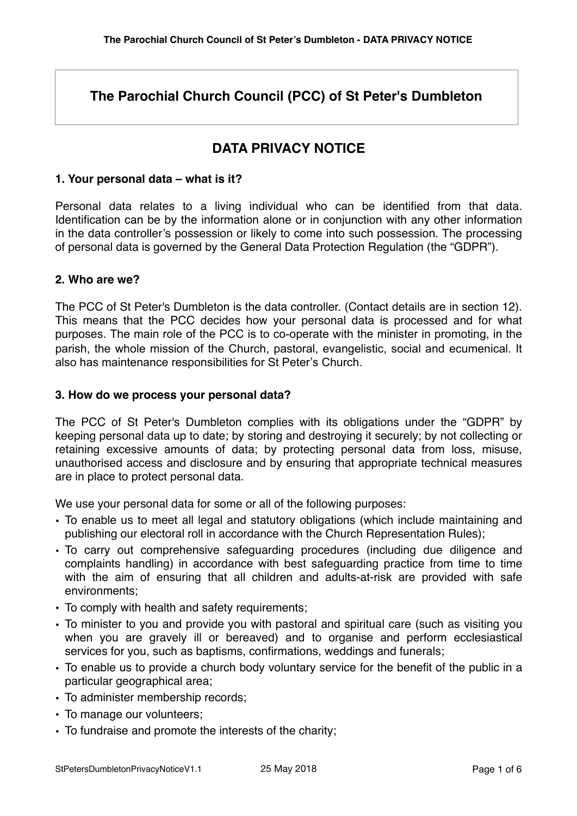# **The Parochial Church Council (PCC) of St Peter's Dumbleton**

# **DATA PRIVACY NOTICE**

## **1. Your personal data – what is it?**

Personal data relates to a living individual who can be identified from that data. Identification can be by the information alone or in conjunction with any other information in the data controller's possession or likely to come into such possession. The processing of personal data is governed by the General Data Protection Regulation (the "GDPR").

## **2. Who are we?**

The PCC of St Peter's Dumbleton is the data controller. (Contact details are in section 12). This means that the PCC decides how your personal data is processed and for what purposes. The main role of the PCC is to co-operate with the minister in promoting, in the parish, the whole mission of the Church, pastoral, evangelistic, social and ecumenical. It also has maintenance responsibilities for St Peter's Church.

## **3. How do we process your personal data?**

The PCC of St Peter's Dumbleton complies with its obligations under the "GDPR" by keeping personal data up to date; by storing and destroying it securely; by not collecting or retaining excessive amounts of data; by protecting personal data from loss, misuse, unauthorised access and disclosure and by ensuring that appropriate technical measures are in place to protect personal data.

We use your personal data for some or all of the following purposes:

- To enable us to meet all legal and statutory obligations (which include maintaining and publishing our electoral roll in accordance with the Church Representation Rules);
- To carry out comprehensive safeguarding procedures (including due diligence and complaints handling) in accordance with best safeguarding practice from time to time with the aim of ensuring that all children and adults-at-risk are provided with safe environments;
- To comply with health and safety requirements;
- To minister to you and provide you with pastoral and spiritual care (such as visiting you when you are gravely ill or bereaved) and to organise and perform ecclesiastical services for you, such as baptisms, confirmations, weddings and funerals;
- To enable us to provide a church body voluntary service for the benefit of the public in a particular geographical area;
- To administer membership records;
- To manage our volunteers;
- To fundraise and promote the interests of the charity;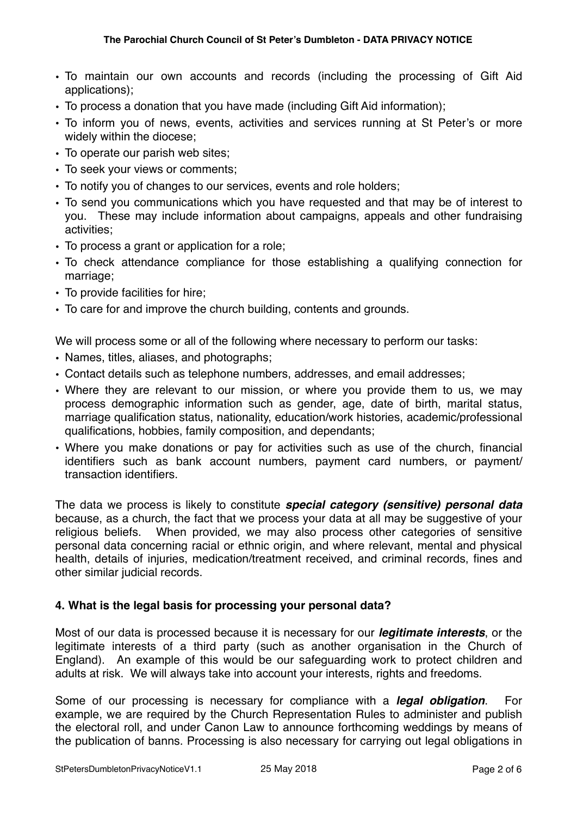- To maintain our own accounts and records (including the processing of Gift Aid applications);
- To process a donation that you have made (including Gift Aid information);
- To inform you of news, events, activities and services running at St Peter's or more widely within the diocese;
- To operate our parish web sites;
- To seek your views or comments;
- To notify you of changes to our services, events and role holders;
- To send you communications which you have requested and that may be of interest to you. These may include information about campaigns, appeals and other fundraising activities;
- To process a grant or application for a role;
- To check attendance compliance for those establishing a qualifying connection for marriage;
- To provide facilities for hire;
- To care for and improve the church building, contents and grounds.

We will process some or all of the following where necessary to perform our tasks:

- Names, titles, aliases, and photographs;
- Contact details such as telephone numbers, addresses, and email addresses;
- Where they are relevant to our mission, or where you provide them to us, we may process demographic information such as gender, age, date of birth, marital status, marriage qualification status, nationality, education/work histories, academic/professional qualifications, hobbies, family composition, and dependants;
- Where you make donations or pay for activities such as use of the church, financial identifiers such as bank account numbers, payment card numbers, or payment/ transaction identifiers.

The data we process is likely to constitute *special category (sensitive) personal data* because, as a church, the fact that we process your data at all may be suggestive of your religious beliefs. When provided, we may also process other categories of sensitive personal data concerning racial or ethnic origin, and where relevant, mental and physical health, details of injuries, medication/treatment received, and criminal records, fines and other similar judicial records.

## **4. What is the legal basis for processing your personal data?**

Most of our data is processed because it is necessary for our *legitimate interests*, or the legitimate interests of a third party (such as another organisation in the Church of England). An example of this would be our safeguarding work to protect children and adults at risk. We will always take into account your interests, rights and freedoms.

Some of our processing is necessary for compliance with a *legal obligation*. For example, we are required by the Church Representation Rules to administer and publish the electoral roll, and under Canon Law to announce forthcoming weddings by means of the publication of banns. Processing is also necessary for carrying out legal obligations in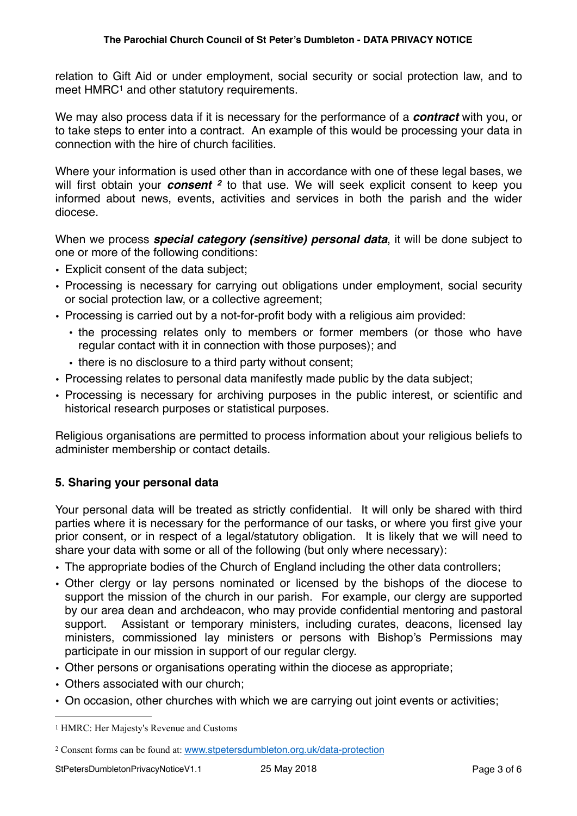<span id="page-2-2"></span>relation to Gift Aid or under employment, social security or social protection law, and to meet  $HMRC<sup>1</sup>$  $HMRC<sup>1</sup>$  $HMRC<sup>1</sup>$  and other statutory requirements.

We may also process data if it is necessary for the performance of a *contract* with you, or to take steps to enter into a contract. An example of this would be processing your data in connection with the hire of church facilities.

<span id="page-2-3"></span>Where your information is used other than in accordance with one of these legal bases, we will first obtain your *consent*<sup>[2](#page-2-1)</sup> to that use. We will seek explicit consent to keep you informed about news, events, activities and services in both the parish and the wider diocese.

When we process *special category (sensitive) personal data*, it will be done subject to one or more of the following conditions:

- Explicit consent of the data subject;
- Processing is necessary for carrying out obligations under employment, social security or social protection law, or a collective agreement;
- Processing is carried out by a not-for-profit body with a religious aim provided:
	- the processing relates only to members or former members (or those who have regular contact with it in connection with those purposes); and
	- there is no disclosure to a third party without consent;
- Processing relates to personal data manifestly made public by the data subject;
- Processing is necessary for archiving purposes in the public interest, or scientific and historical research purposes or statistical purposes.

Religious organisations are permitted to process information about your religious beliefs to administer membership or contact details.

## **5. Sharing your personal data**

Your personal data will be treated as strictly confidential. It will only be shared with third parties where it is necessary for the performance of our tasks, or where you first give your prior consent, or in respect of a legal/statutory obligation. It is likely that we will need to share your data with some or all of the following (but only where necessary):

- The appropriate bodies of the Church of England including the other data controllers;
- Other clergy or lay persons nominated or licensed by the bishops of the diocese to support the mission of the church in our parish. For example, our clergy are supported by our area dean and archdeacon, who may provide confidential mentoring and pastoral support. Assistant or temporary ministers, including curates, deacons, licensed lay ministers, commissioned lay ministers or persons with Bishop's Permissions may participate in our mission in support of our regular clergy.
- Other persons or organisations operating within the diocese as appropriate;
- Others associated with our church;
- On occasion, other churches with which we are carrying out joint events or activities;

<span id="page-2-0"></span><sup>&</sup>lt;sup>[1](#page-2-2)</sup> HMRC: Her Majesty's Revenue and Customs

<span id="page-2-1"></span>[<sup>2</sup>](#page-2-3) Consent forms can be found at: [www.stpetersdumbleton.org.uk/data-protection](http://www.stpetersdumbleton.org.uk/data-protection)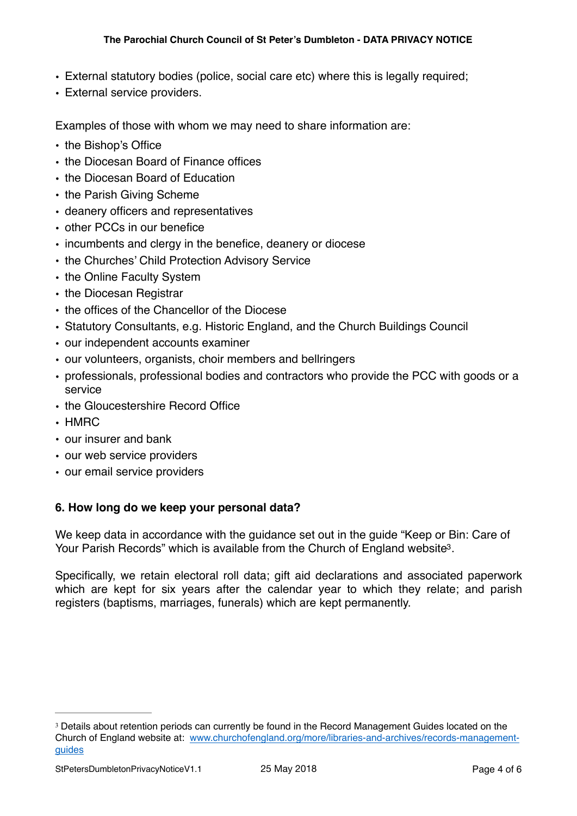- External statutory bodies (police, social care etc) where this is legally required;
- External service providers.

Examples of those with whom we may need to share information are:

- the Bishop's Office
- the Diocesan Board of Finance offices
- the Diocesan Board of Education
- the Parish Giving Scheme
- deanery officers and representatives
- other PCCs in our benefice
- incumbents and clergy in the benefice, deanery or diocese
- the Churches' Child Protection Advisory Service
- the Online Faculty System
- the Diocesan Registrar
- the offices of the Chancellor of the Diocese
- Statutory Consultants, e.g. Historic England, and the Church Buildings Council
- our independent accounts examiner
- our volunteers, organists, choir members and bellringers
- professionals, professional bodies and contractors who provide the PCC with goods or a service
- the Gloucestershire Record Office
- HMRC
- our insurer and bank
- our web service providers
- our email service providers

## **6. How long do we keep your personal data?**

<span id="page-3-1"></span>We keep data in accordance with the guidance set out in the guide "Keep or Bin: Care of Your Parish Records" which is available from the Church of England website<sup>[3](#page-3-0)</sup>.

Specifically, we retain electoral roll data; gift aid declarations and associated paperwork which are kept for six years after the calendar year to which they relate; and parish registers (baptisms, marriages, funerals) which are kept permanently.

<span id="page-3-0"></span><sup>&</sup>lt;sup>[3](#page-3-1)</sup> Details about retention periods can currently be found in the Record Management Guides located on the Church of England website at: [www.churchofengland.org/more/libraries-and-archives/records-management](http://www.churchofengland.org/more/libraries-and-archives/records-management-guides)[guides](http://www.churchofengland.org/more/libraries-and-archives/records-management-guides)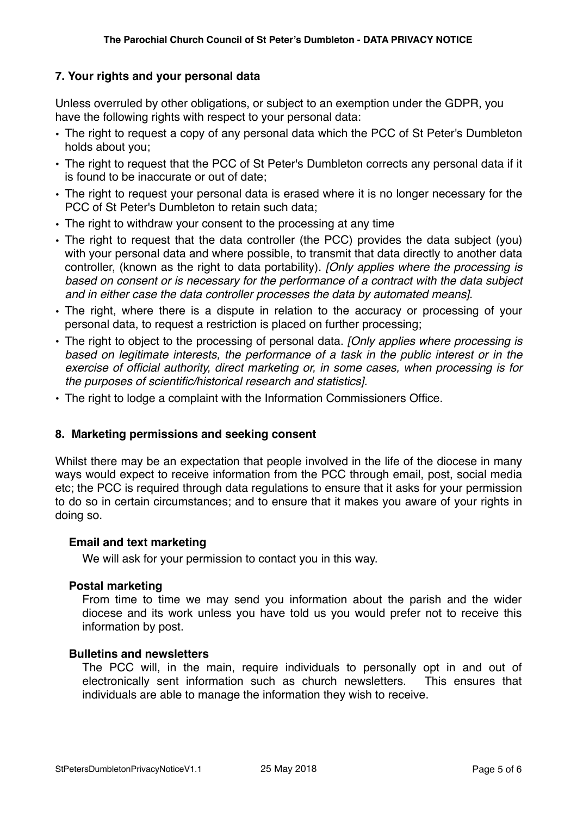## **7. Your rights and your personal data**

Unless overruled by other obligations, or subject to an exemption under the GDPR, you have the following rights with respect to your personal data:

- The right to request a copy of any personal data which the PCC of St Peter's Dumbleton holds about you;
- The right to request that the PCC of St Peter's Dumbleton corrects any personal data if it is found to be inaccurate or out of date;
- The right to request your personal data is erased where it is no longer necessary for the PCC of St Peter's Dumbleton to retain such data;
- The right to withdraw your consent to the processing at any time
- The right to request that the data controller (the PCC) provides the data subject (you) with your personal data and where possible, to transmit that data directly to another data controller, (known as the right to data portability). *[Only applies where the processing is based on consent or is necessary for the performance of a contract with the data subject and in either case the data controller processes the data by automated means]*.
- The right, where there is a dispute in relation to the accuracy or processing of your personal data, to request a restriction is placed on further processing;
- The right to object to the processing of personal data. *[Only applies where processing is based on legitimate interests, the performance of a task in the public interest or in the exercise of official authority, direct marketing or, in some cases, when processing is for the purposes of scientific/historical research and statistics].*
- The right to lodge a complaint with the Information Commissioners Office.

## **8. Marketing permissions and seeking consent**

Whilst there may be an expectation that people involved in the life of the diocese in many ways would expect to receive information from the PCC through email, post, social media etc; the PCC is required through data regulations to ensure that it asks for your permission to do so in certain circumstances; and to ensure that it makes you aware of your rights in doing so.

#### **Email and text marketing**

We will ask for your permission to contact you in this way.

#### **Postal marketing**

From time to time we may send you information about the parish and the wider diocese and its work unless you have told us you would prefer not to receive this information by post.

#### **Bulletins and newsletters**

The PCC will, in the main, require individuals to personally opt in and out of electronically sent information such as church newsletters. This ensures that individuals are able to manage the information they wish to receive.